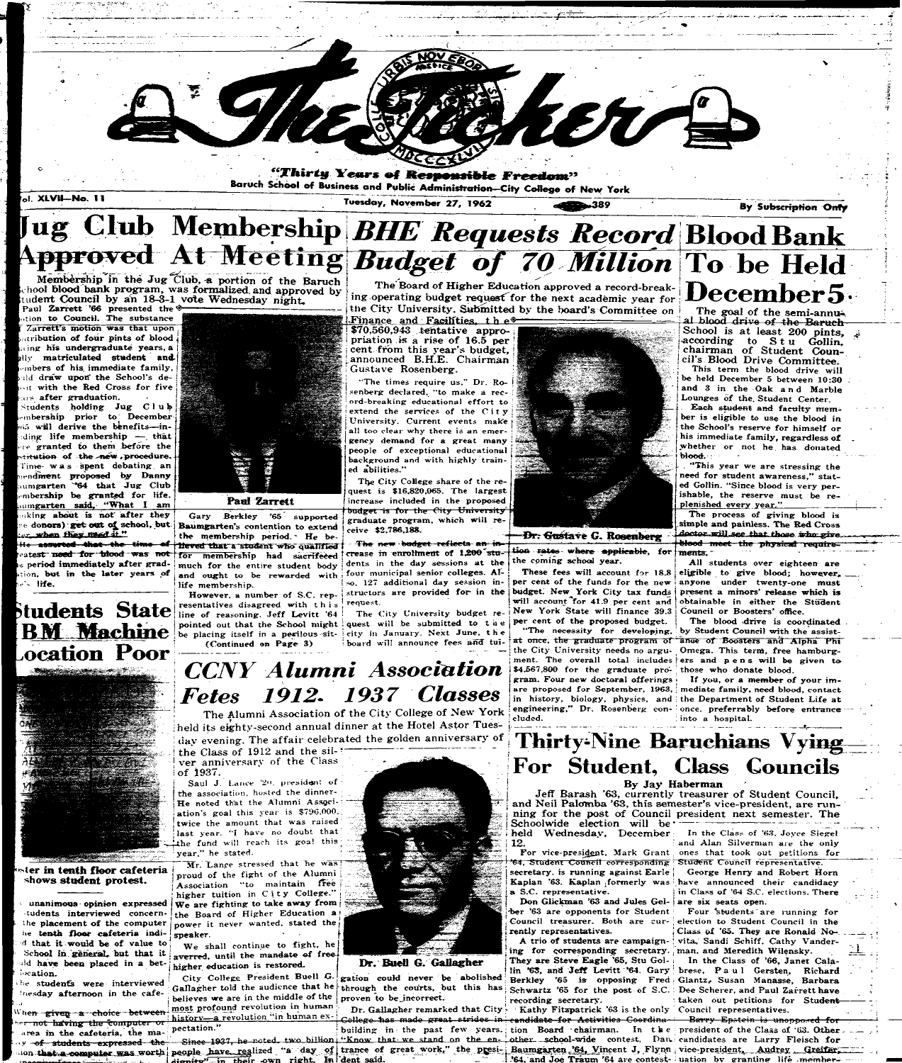

# $\boldsymbol{\mu}$  **g** Club Membership *BHE Requests Record* Blood Bank **J A l M<sup>e</sup> etin g** *Budget of 70 Million* **j To be Held**

Membership in the Jug Club, a portion of the Baruch chooi blood bank program, was formalized, and approved by tudent Council by an 18-3-1 vote Wednesday night.

**Paul Zarrett '66 presented the**  $\&$ **tion to Council. The substance Zarrett's motion was that upon • n i but ion o f foii r pints o f blood** *j*  **ing his undergraduate years, a illy matriculated student and-june and-june and-june and-june and-june and-june and-june and-june and-june and-•mbers of his immediate family,** ald draw upon the School's de- $-$ **it with the Red Cross for five** ars after graduation.

**Students holding Jug; Club ]**   $\times$ **mbership prior to December**  $\vec{r}$  will derive the benefits—in**duing lif e membershi p — . tha t re granted to them before the ^-rt-tttion o f th e --new** *,***procedure. Time- was spent debating an lendment proposed by Danny umgarten "64 that Jug Club**" mbership be granted for life. **i umgarten said, "What I am nking about is not after they the donors) get out of school, but.** the when they meed it."

**Gary Berkley '65 supported Baumgarten's contention to extend t he membership period. - He be-**  $He$  asserted that the time of theved that a student who qualified for membership had sacrifeced **le period immediately after grad-** much for the entire student body and ought to be rewarded with life membership.

> **resentatives** disagreed with this<sup>t</sup> request. line of reasoning. Jeff Levitt '64 pointed out that the School might **be placing itself in a perilous-sit- (Continued on Page 3)**

The Board of Higher Education approved a record-break-<br>ing operating budget request for the next academic year for  $\bf December 5$ . The" Board of Higher Education approved a record-break-The Board of Higher Education approved a record-break-<br>ing operating budget request for the next academic year for<br>the City University. Submitted by the board's Committee on<br>Finance and Facilities, the semi-annual photo d

"The times require us," Dr. Rosenberg declared, "to make a rec $ord$ -breaking educational effort to extend the services of the City **University . Current events make** *\*  **all too clear why there is an emer gency demand for a grea t many people of exceptional educational**  background and with highly train**ed abilities."** 

The City College share of the re**i quest is \$16,820,065. The largest f increase included in the proposed | budge t is for the City University\* | graduat e program, which will re - | ceive \$2,786,188.** 

al blood drive of the Baruch School is at least 200 pints,  $\frac{1}{2}$ according to  $S t u$  Gollin, chairman of Student Council's Blood Drive Committee.

**j This term the blood drive will { be held Decembe r 5 between 10:3 0**  and 3 in the Oak and Marble Lounges of the Student Center.

Each student and faculty member is eligible to use the blood in the School's reserve for himself or **his immediat e family , regardless o f whether** or not he has donated **blood . •;••• -**

"This year we are stressing the need for student awareness," stat**ed Gollin.** "Since blood is very perishable, the reserve must be replenished every year."

**1)** a test need for blood was not **tion, but in the later years of •^ life .** 

\$70,560,943 tentative appropriation *is* a rise of 16.5 per cent from this year's budget, announced B.H.E. Chairman Gustave Rosenberg.

**a** The new budget reflects an in crease in enrollment of 1,200<sup>-</sup>stu*i* in the day sessions at the **-tion- sale\*\*- wher e applicable , fo r the coming school year .** 

four municipal senior colleges. Al-127 **additional day** session in-However, a number of S.C. rep- structors are provided for in the

> The City University budget re**quest** will be submitted to the city in January. Next June, the **board will announce fees and tui-**



**These fees will account for 18.8 per cent of the funds for the new budget:** New York City tax funds **will account for 41.9 per cent and**  cent of the proposed budget.

"The necessity for developing, by Student Council with the assistat once, the graduate program of ance of Boosters and Alpha Phi

The process of giving blood is **simpl e an d painless. Th e Re d Cross**  *Dr. Gustave G. Rosenberg* --*jAntor will see that those who give -•~--* **1 Meed mee t the physica l require merits. ~** 

All students over eighteen are **eligible to give blood; however, anyone under twenty-one must** *York State will finance 39.3* **Council or Boosters' office.** present a minors' release which is  $obtainable$  in either the Student

! The Alumni Association of the City College of New York held its eighty-second annual dinner at the Hotel Astor Tuesday evening. The affair celebrated the golden anniversary of

the Class of 1912 and the silver anniversary of the Class of 1937.

Saul J. Lance '20, president of **the association, hosted the dinner -** He noted that the Alumni Associ**i ation's goal this year is \$796,000.**  twice the amount that was raised *••* **last year . "I have no doubt that the fund will reach its goa! this year." he stated.** 

 **Lance stressed that he was** proud of the fight of the Alumni Association "to maintain free higher tuition in City College." We are fighting to take away from the Board of Higher Education a **power it never wanted, stated the j speaker . v**  $\frac{1}{2}$  **v**  $\frac{1}{2}$  **v**  $\frac{1}{2}$  **v**  $\frac{1}{2}$  **v**  $\frac{1}{2}$  **v**  $\frac{1}{2}$  **...**  $\rightarrow$  **he City University needs no argu- Omega. This term, free hamburg-The blood ^drive is coordinated** 

**gram.** Four new doctoral offerings **If you, or a member of your imare proposed for September, 1963, mediate family, need blood, contact** in history, biology, physics, and the Department of Student Life at **engineering," Dr . Rosenber g con-once . preferraWy befor e entranc e cluded. into a hospital.** 

### **ter in tenth floor cafeteria** shows **student protest.**

**1 He students were interviewed lnesday afternoon in the cafe-**

**| he<del>n</del> –given – a – choice – between**  $\sim$   $r$  not having the computer or **»\_ !f>;**  area in the cafeteria, the ma-<br>*y* of students expressed the **y -of-—students expressed—th e**  ion that a computer was worth people have realized "a day of trance of great work," the presi-





### Paul Zarrett

**We shall continue to fight, he**  averred, until the mandate of freehigher education is restored.

## **Thirty-Nine Baruchians Vying For Student, Class Councils**

Jeff Barash '63, currently treasurer of Student Council, and Neil Palomba '63, this semester's vice-president, are running for the post of Council president next semester. The Schoolwide election will be $^*$ held Wednesday, December In the Class of '63. Joyce Siegel and Alan Silverman are the only

12. **For vice-president.** Mark Grant ones that took out petitions for **'64, Student Council corresponding-udent Council representative . secretary , is running against Earl e j**  Kaplan '63. Kaplan formerly was have announced their candidacy **a** S.C. representative. **a i** in Class of '64 S.C. elections. There

Don Glickman '63 and Jules Gel- are six seats open.

ing for corresponding secretary. man. and Meredith Wilensky.

**ber '63 are opponents for Student Four Students are running for Council treasurer . Both ar e cur - j election to Student Council in the rently representatives.**  $\qquad$   $\qquad$  Class of '65. They are Ronald No-. **A trio of students ar e campaign - j vita , Sandi Schiff, Cath y Vander -**

&\$;\*&\*• <sup>&</sup>lt;*CCNY Alumni Association \ Fetes 1912. 1937 Classes* 

> **\_** *-'"•*   $\beta$  Baumgarten '64, Vincent J, Flynn vice-president, Audrey Greifer, **'64, and Joe Traum '64 are contest-** uation by granting life member-

**;**

**unanimous opinion expressed •tudents interviewed concernihe placement of the computer** he tenth floor cafeteria indi**d** that it would be of value to School in general, but that it **id have been placed in a bet-** $\sim$ ation.

### By Jay Haberman

**City College President Buell** *G.*  **Gallagher told the audience that he through the courts, but this has believe s w e are in the middl e o f the proven to be\_ineorrect.** 

most profound revolution in human **Dr. Gallagher remarked that City** 

 $r^2$  in their own right. In dent said.

ment. The overall total includes ers and pens will be given to **I** \$4,567,800 for the graduate pro- those who donate blood.

**Georg e Henr y and Rober t Hor n** 

**Dr. Buetl G.** Gallagher

gation could never be abolished

**LL** 

**They are Steve Eagle '65, Stu Gol- i** In the Class of '66, Janet Calalin '63, and Jeff Levitt '64. Gary brese, Paul Gersten, Richard **Berkle y '65 i s opposin g Fre d ; Glantz^ Susa n Manasse , Barbar a Schwartz '65 for the post of S.C.** *Dee Scherer***, and Paul Zarrett have recording secretary. . 1** taken out petitions for Student

**Dr. Gallagher remarked that City • Kathy Fitzpatrick '63** is the only Council representatives.

history—a revolution "in human ex- College has made great strides in candidate for Activities Coordina- Barry Epstein is unopposed for pectation." **Example 20 is a start of the past few years. tion Board chairman. In the president of the Class of '63. Other** Since 1937, he noted, two billion "Know that we stand on the en- other school-wide contest. Dan candidates are Larry Fleisch for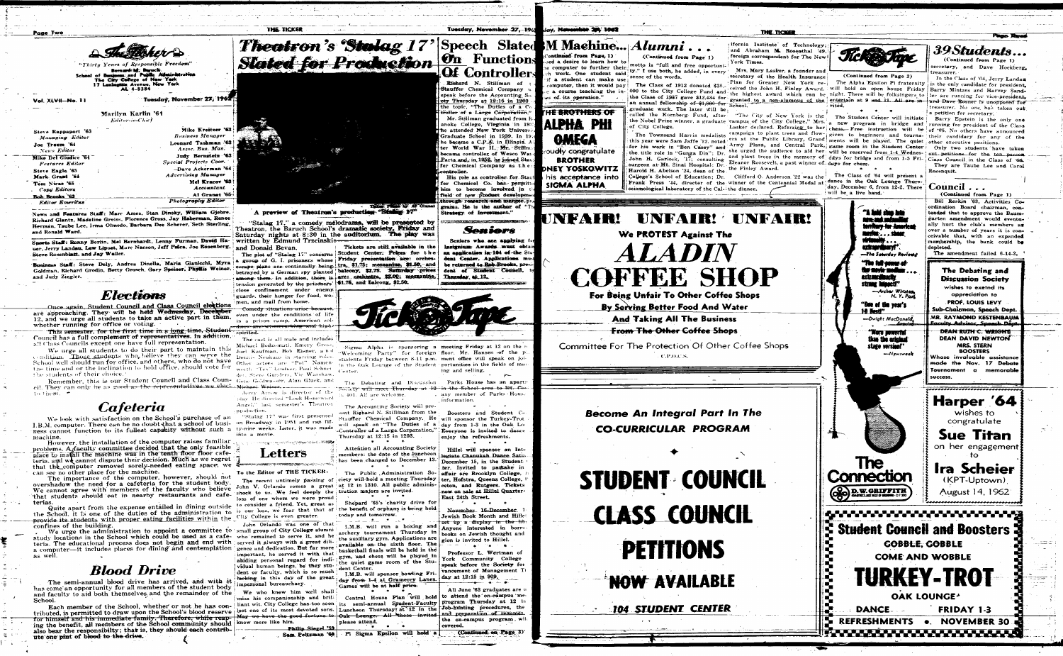|                 | EEU D                                                                                                                                              |  |
|-----------------|----------------------------------------------------------------------------------------------------------------------------------------------------|--|
|                 | "Thirty Years of Responsible Freedom"                                                                                                              |  |
|                 | Bernard M. Baruck.<br>School of Business and Public Alfininistration<br>The City College of New Yerk<br>17 Lexington Avenue, New York<br>AL 4-8384 |  |
| l. XLVII—No. 11 | Tuesday, November 27, 1962                                                                                                                         |  |
|                 |                                                                                                                                                    |  |

Marilyn Karlin '64 Editor-in-Chief

Mike Kreitzer '63

**Business Manager** 

Leonard Tashman '63

Assoc. Bus. Man.

Judy Bernstein '63

Dave Ackerman '64

Mel Kracov '63

Accountant

Al Granat '65:

Special Projects Coor.

**Advertising Manager** 

**Photography Editor** 

Steve Rappaport '63 Managing Editor Joe Traum '64 News Editor Mike Del Giudice '64 **Features Editor** Steve Eagle '65 Mark Grant '6 Tom Nicas '65 Copy Editors

Rob Rrooks 62 **Editor Emeritus** 

News and Features Staff: Marc Ames. Stan Dinsky. William Gjebre. Richard Glantz, Madeline Greiss, Florence Gross, Jay Haberman, Renee Herman, Taube Lee, Irma Olmedo, Barbara Dee Scherer, Seth Sterling. and Ronald Ward.

Sports Staff: Ronny Berlin, Mel Bernhardt, Lenny Furman, David Hauer, Jerry Landau, Lew Lipset, Marc Nacson, Jeff Palca, Joe Rosenberg, Steve Rosenblatt, and Jay Weller.

Business Staff: Steve Dely, Andrea Dinella, Maria Gianicchi, Myra Goldman, Richard Grodin, Betty Grosch, Gary Speiser, Phyllis Weiner. and Judy Ziegler.



Once again, Student Council and Class Council elections are approaching. They will be held Wednesday, December 12, and we urge all students to take an active part in them. whether running for office or voting.

This semester, for the first time in a long-time, Studen Council has a full complement of representatives. In addition, all Class Councils except one have full representation.

We urge all students to do their part to maintain this condition. Those students who believe they can serve the School well should run for office, and others, who do not have the time and or the inclination to hold office, should vote for the students of their choice.

Remember, this is our Student Council and Class Coun- Gene Goldwasser, Alan Gluck, and cil. They can only be as good as the representatives we elect. Michael Weiser. до преп

## Cafeteria

We look with satisfaction on the School's purchase of an I.B.M. computer. There can be no doubt that a school of business cannot function to its fullest capacity without such a ty-nine weeks. Later, it was made machine.

However, the installation of the computer raises familiar problems. A faculty committee decided that the only feasible place to install the machine was in the tenth floor floor cafeteria, and we cannot dispute their decision. Much as we regret that the computer removed sorely-needed eating space, we can see no other place for the machine.

The importance of the computer, however, should not overshadow the need for a cafeteria for the student body. We cannot agree with members of the faculty who believe that students should eat in nearby restaurants and cafeterías.

Quite apart from the expense entailed in dining outside the School, it is one of the duties of the administration to provide its students with proper eating facilities within the City College is even greater confines of the building.

We urge the administration to appoint a committee to study locations in the School which could be used as a cafe- who remained to serve it, and he teria. The educational process does not begin and end with a computer-it includes places for dining and contemplation as well.

## **Blood Drive**

The semi-annual blood drive has arrived, and with it has come an opportunity for all members of the student body and faculty to aid both themselves, and the remainder of the School.

Each member of the School, whether or not he has contributed, is permitted to draw upon the School's blood reserve for himself and his inmediate family. Therefore, while reaping the benefit, all members of the School community should also bear the responsibilty; that is, they should each contribute one pint of blood to the drive.

"Stalag 17," a comedy melodrama, will be presented by Theatron, the Baruch School's dramatic society, Friday and Saturday nights at 8:30 in the auditorium. The play was written by Edmund Trzcinskisand Donald Bevan. The plot of "Stalag 17" concerns

group of G. I. prisoners whose escape plans are continually being tra, \$1.75; mezzanine, \$1.50, and betrayed by a German spy planted balcony, \$2.75. Suturday prices among them. In addition, there is are: orchestra, \$2.00; messanine, tension generated by the prisoners | \$1.75, and balcong, \$1.50. close confinement under enemy. guards, their hunger for food, women, and mail from home.

THE TICKER

<del>medy situations arise because</del> even under the conditions of life in a prison camp. American so spirited.

The cast is all male and include Michael Bodzomati, Emery Gross Joel Kaufman, Bob Eisner, and Dennis Neuhaus in starring roles Other actors are "Pot" Namenworth "Tex" Lindner, Paul Schner. der. Steve Gunders, Vic Warshaw.

play. He directed "Look Homeward Angel," last semester's Theatron  $\epsilon$ production

"Stalag 17" was first presented on Broadway in 1951 and ran fifinto a movi

الم المصري المسلمين المستحدة المسلمين المسلمين.<br>المسلمين

## Letters

To the Editor of THE TICKER:

The recent untimely passing John V. Orlando comes a great shock to us. We feel deeply the loss of one whom we were proud to consider a friend. Yet, great as is our loss, we fear that that of

John Orlando was one of that small group of City College alumni served it always with a great diligence and dedication. But far more important, he served it with that abiding personal regard for individual human beings, be they student or faculty, which is so much lacking in this day of the great impersonal bureauchacy.

We who knew him well shall miss his companionship and brillost one of its most devoted sons. Luncheon Thursday at 12 in the know more like him.

Philin Siegel '59 Sam Peltzman '60 . Pi Sigma Epsilon will hold a

Tickets are still available in the Student Center. Prices for the Friday presentation are: orches-



401. All are welcome.

The Accounting Society will pre sent Righard N. Stillman from the Stauffer Chemical Company. He will speak on "The Duties of a Thursday at 12:15 in 1203.

Attention all Accounting Society members: the date of the luncheon has been changed to December 13

ciety will hold a meeting Thursday at 12 in 1310. All public administration majors are invited.

Shepard '65's charity drive for the benefit of orphans is being held today and tomorrow.

I.M.B. will run a boxing and archery tournament Thursday the auxiliary gym. Applications are available on the sixth floor. The basketball finals will be held in the gym, and chess will be played in the quiet game room of the Stu-

dent Center. I.M.B. will sponsor bowling Friday from 1-4 at Gramercy Lanes. Games will be at half price.

Central House Plan will hold

please attend. **Contract Contract Street**